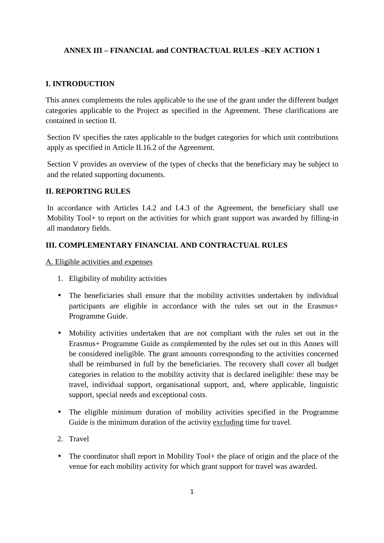## **ANNEX III – FINANCIAL and CONTRACTUAL RULES –KEY ACTION 1**

### **I. INTRODUCTION**

This annex complements the rules applicable to the use of the grant under the different budget categories applicable to the Project as specified in the Agreement. These clarifications are contained in section II.

Section IV specifies the rates applicable to the budget categories for which unit contributions apply as specified in Article II.16.2 of the Agreement.

Section V provides an overview of the types of checks that the beneficiary may be subject to and the related supporting documents.

#### **II. REPORTING RULES**

In accordance with Articles I.4.2 and I.4.3 of the Agreement, the beneficiary shall use Mobility Tool+ to report on the activities for which grant support was awarded by filling-in all mandatory fields.

#### **III. COMPLEMENTARY FINANCIAL AND CONTRACTUAL RULES**

A. Eligible activities and expenses

- 1. Eligibility of mobility activities
- The beneficiaries shall ensure that the mobility activities undertaken by individual participants are eligible in accordance with the rules set out in the Erasmus+ Programme Guide.
- Mobility activities undertaken that are not compliant with the rules set out in the Erasmus+ Programme Guide as complemented by the rules set out in this Annex will be considered ineligible. The grant amounts corresponding to the activities concerned shall be reimbursed in full by the beneficiaries. The recovery shall cover all budget categories in relation to the mobility activity that is declared ineligible: these may be travel, individual support, organisational support, and, where applicable, linguistic support, special needs and exceptional costs.
- The eligible minimum duration of mobility activities specified in the Programme Guide is the minimum duration of the activity excluding time for travel.
- 2. Travel
- The coordinator shall report in Mobility Tool+ the place of origin and the place of the venue for each mobility activity for which grant support for travel was awarded.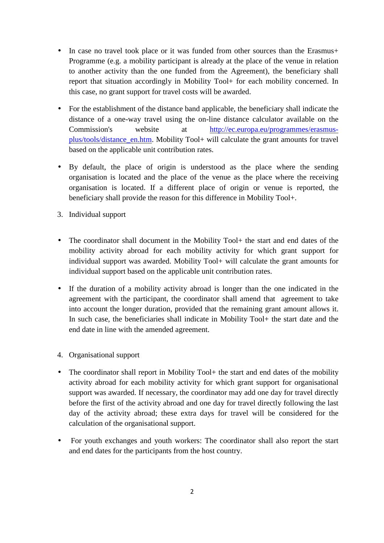- In case no travel took place or it was funded from other sources than the Erasmus+ Programme (e.g. a mobility participant is already at the place of the venue in relation to another activity than the one funded from the Agreement), the beneficiary shall report that situation accordingly in Mobility Tool+ for each mobility concerned. In this case, no grant support for travel costs will be awarded.
- For the establishment of the distance band applicable, the beneficiary shall indicate the distance of a one-way travel using the on-line distance calculator available on the Commission's website at http://ec.europa.eu/programmes/erasmusplus/tools/distance\_en.htm. Mobility Tool+ will calculate the grant amounts for travel based on the applicable unit contribution rates.
- By default, the place of origin is understood as the place where the sending organisation is located and the place of the venue as the place where the receiving organisation is located. If a different place of origin or venue is reported, the beneficiary shall provide the reason for this difference in Mobility Tool+.
- 3. Individual support
- The coordinator shall document in the Mobility Tool+ the start and end dates of the mobility activity abroad for each mobility activity for which grant support for individual support was awarded. Mobility Tool+ will calculate the grant amounts for individual support based on the applicable unit contribution rates.
- If the duration of a mobility activity abroad is longer than the one indicated in the agreement with the participant, the coordinator shall amend that agreement to take into account the longer duration, provided that the remaining grant amount allows it. In such case, the beneficiaries shall indicate in Mobility Tool+ the start date and the end date in line with the amended agreement.
- 4. Organisational support
- The coordinator shall report in Mobility Tool + the start and end dates of the mobility activity abroad for each mobility activity for which grant support for organisational support was awarded. If necessary, the coordinator may add one day for travel directly before the first of the activity abroad and one day for travel directly following the last day of the activity abroad; these extra days for travel will be considered for the calculation of the organisational support.
- For youth exchanges and youth workers: The coordinator shall also report the start and end dates for the participants from the host country.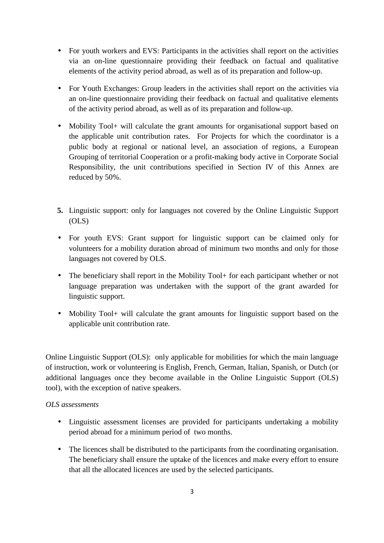- For youth workers and EVS: Participants in the activities shall report on the activities via an on-line questionnaire providing their feedback on factual and qualitative elements of the activity period abroad, as well as of its preparation and follow-up.
- For Youth Exchanges: Group leaders in the activities shall report on the activities via an on-line questionnaire providing their feedback on factual and qualitative elements of the activity period abroad, as well as of its preparation and follow-up.
- Mobility Tool+ will calculate the grant amounts for organisational support based on the applicable unit contribution rates. For Projects for which the coordinator is a public body at regional or national level, an association of regions, a European Grouping of territorial Cooperation or a profit-making body active in Corporate Social Responsibility, the unit contributions specified in Section IV of this Annex are reduced by 50%.
- **5.** Linguistic support: only for languages not covered by the Online Linguistic Support (OLS)
- For youth EVS: Grant support for linguistic support can be claimed only for volunteers for a mobility duration abroad of minimum two months and only for those languages not covered by OLS.
- The beneficiary shall report in the Mobility Tool+ for each participant whether or not language preparation was undertaken with the support of the grant awarded for linguistic support.
- Mobility Tool+ will calculate the grant amounts for linguistic support based on the applicable unit contribution rate.

Online Linguistic Support (OLS): only applicable for mobilities for which the main language of instruction, work or volunteering is English, French, German, Italian, Spanish, or Dutch (or additional languages once they become available in the Online Linguistic Support (OLS) tool), with the exception of native speakers.

## *OLS assessments*

- Linguistic assessment licenses are provided for participants undertaking a mobility period abroad for a minimum period of two months.
- The licences shall be distributed to the participants from the coordinating organisation. The beneficiary shall ensure the uptake of the licences and make every effort to ensure that all the allocated licences are used by the selected participants.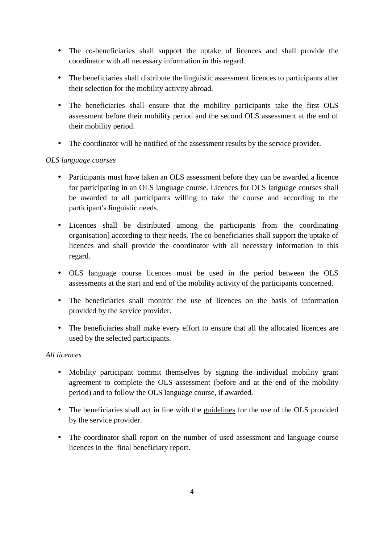- The co-beneficiaries shall support the uptake of licences and shall provide the coordinator with all necessary information in this regard.
- The beneficiaries shall distribute the linguistic assessment licences to participants after their selection for the mobility activity abroad.
- The beneficiaries shall ensure that the mobility participants take the first OLS assessment before their mobility period and the second OLS assessment at the end of their mobility period.
- The coordinator will be notified of the assessment results by the service provider.

# *OLS language courses*

- Participants must have taken an OLS assessment before they can be awarded a licence for participating in an OLS language course. Licences for OLS language courses shall be awarded to all participants willing to take the course and according to the participant's linguistic needs.
- Licences shall be distributed among the participants from the coordinating organisation] according to their needs. The co-beneficiaries shall support the uptake of licences and shall provide the coordinator with all necessary information in this regard.
- OLS language course licences must be used in the period between the OLS assessments at the start and end of the mobility activity of the participants concerned.
- The beneficiaries shall monitor the use of licences on the basis of information provided by the service provider.
- The beneficiaries shall make every effort to ensure that all the allocated licences are used by the selected participants.

## *All licences*

- Mobility participant commit themselves by signing the individual mobility grant agreement to complete the OLS assessment (before and at the end of the mobility period) and to follow the OLS language course, if awarded.
- The beneficiaries shall act in line with the guidelines for the use of the OLS provided by the service provider.
- The coordinator shall report on the number of used assessment and language course licences in the final beneficiary report.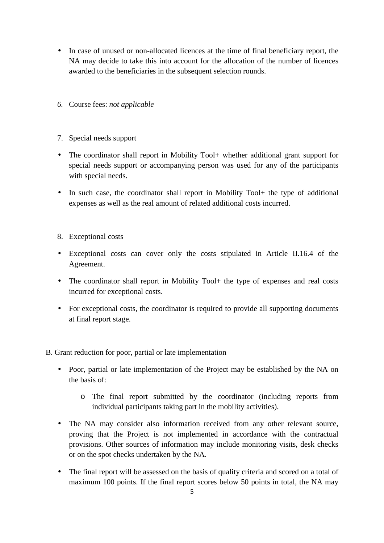- In case of unused or non-allocated licences at the time of final beneficiary report, the NA may decide to take this into account for the allocation of the number of licences awarded to the beneficiaries in the subsequent selection rounds.
- *6.* Course fees: *not applicable*
- 7. Special needs support
- The coordinator shall report in Mobility Tool+ whether additional grant support for special needs support or accompanying person was used for any of the participants with special needs.
- In such case, the coordinator shall report in Mobility Tool+ the type of additional expenses as well as the real amount of related additional costs incurred.
- 8. Exceptional costs
- Exceptional costs can cover only the costs stipulated in Article II.16.4 of the Agreement.
- The coordinator shall report in Mobility Tool+ the type of expenses and real costs incurred for exceptional costs.
- For exceptional costs, the coordinator is required to provide all supporting documents at final report stage.

B. Grant reduction for poor, partial or late implementation

- Poor, partial or late implementation of the Project may be established by the NA on the basis of:
	- o The final report submitted by the coordinator (including reports from individual participants taking part in the mobility activities).
- The NA may consider also information received from any other relevant source, proving that the Project is not implemented in accordance with the contractual provisions. Other sources of information may include monitoring visits, desk checks or on the spot checks undertaken by the NA.
- The final report will be assessed on the basis of quality criteria and scored on a total of maximum 100 points. If the final report scores below 50 points in total, the NA may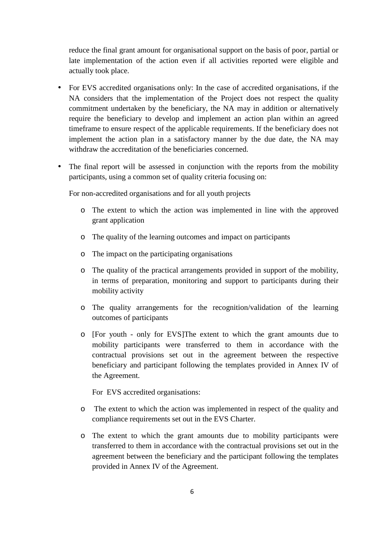reduce the final grant amount for organisational support on the basis of poor, partial or late implementation of the action even if all activities reported were eligible and actually took place.

- For EVS accredited organisations only: In the case of accredited organisations, if the NA considers that the implementation of the Project does not respect the quality commitment undertaken by the beneficiary, the NA may in addition or alternatively require the beneficiary to develop and implement an action plan within an agreed timeframe to ensure respect of the applicable requirements. If the beneficiary does not implement the action plan in a satisfactory manner by the due date, the NA may withdraw the accreditation of the beneficiaries concerned.
- The final report will be assessed in conjunction with the reports from the mobility participants, using a common set of quality criteria focusing on:

For non-accredited organisations and for all youth projects

- o The extent to which the action was implemented in line with the approved grant application
- o The quality of the learning outcomes and impact on participants
- o The impact on the participating organisations
- o The quality of the practical arrangements provided in support of the mobility, in terms of preparation, monitoring and support to participants during their mobility activity
- o The quality arrangements for the recognition/validation of the learning outcomes of participants
- o [For youth only for EVS]The extent to which the grant amounts due to mobility participants were transferred to them in accordance with the contractual provisions set out in the agreement between the respective beneficiary and participant following the templates provided in Annex IV of the Agreement.

For EVS accredited organisations:

- o The extent to which the action was implemented in respect of the quality and compliance requirements set out in the EVS Charter.
- o The extent to which the grant amounts due to mobility participants were transferred to them in accordance with the contractual provisions set out in the agreement between the beneficiary and the participant following the templates provided in Annex IV of the Agreement.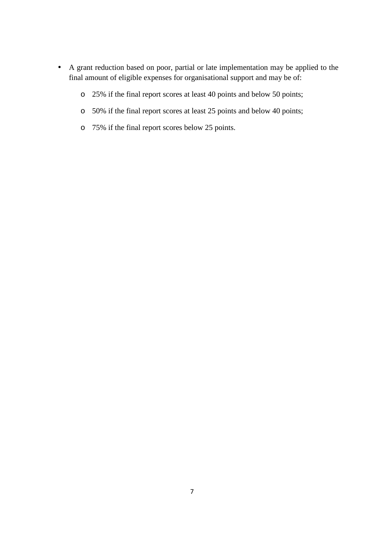- A grant reduction based on poor, partial or late implementation may be applied to the final amount of eligible expenses for organisational support and may be of:
	- o 25% if the final report scores at least 40 points and below 50 points;
	- o 50% if the final report scores at least 25 points and below 40 points;
	- o 75% if the final report scores below 25 points.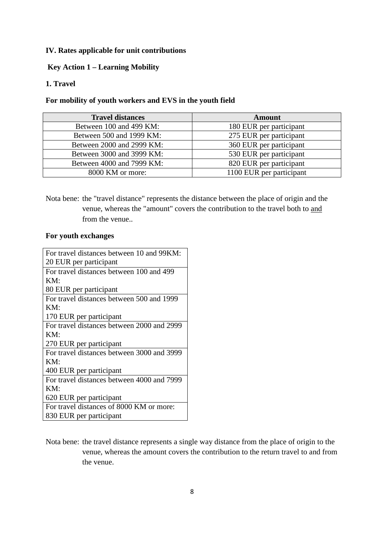#### **IV. Rates applicable for unit contributions**

## **Key Action 1 – Learning Mobility**

# **1. Travel**

#### **For mobility of youth workers and EVS in the youth field**

| <b>Travel distances</b>   | <b>Amount</b>            |
|---------------------------|--------------------------|
| Between 100 and 499 KM:   | 180 EUR per participant  |
| Between 500 and 1999 KM:  | 275 EUR per participant  |
| Between 2000 and 2999 KM: | 360 EUR per participant  |
| Between 3000 and 3999 KM: | 530 EUR per participant  |
| Between 4000 and 7999 KM: | 820 EUR per participant  |
| 8000 KM or more:          | 1100 EUR per participant |

Nota bene: the "travel distance" represents the distance between the place of origin and the venue, whereas the "amount" covers the contribution to the travel both to and from the venue..

#### **For youth exchanges**

| For travel distances between 10 and 99KM:  |
|--------------------------------------------|
| 20 EUR per participant                     |
| For travel distances between 100 and 499   |
| KM:                                        |
| 80 EUR per participant                     |
| For travel distances between 500 and 1999  |
| KM:                                        |
| 170 EUR per participant                    |
| For travel distances between 2000 and 2999 |
| KM:                                        |
| 270 EUR per participant                    |
| For travel distances between 3000 and 3999 |
| KM:                                        |
| 400 EUR per participant                    |
| For travel distances between 4000 and 7999 |
| KM:                                        |
| 620 EUR per participant                    |
| For travel distances of 8000 KM or more:   |
| 830 EUR per participant                    |

Nota bene: the travel distance represents a single way distance from the place of origin to the venue, whereas the amount covers the contribution to the return travel to and from the venue.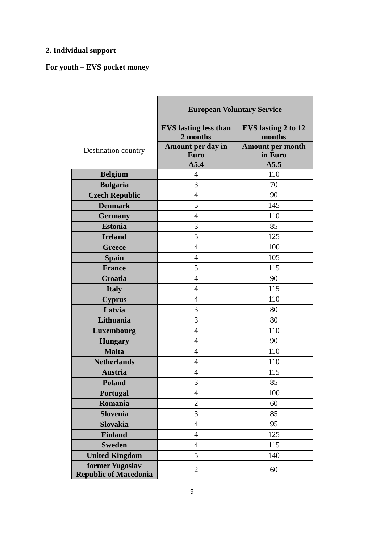# **2. Individual support**

# **For youth – EVS pocket money**

|                              | <b>European Voluntary Service</b> |                            |  |  |
|------------------------------|-----------------------------------|----------------------------|--|--|
|                              | <b>EVS</b> lasting less than      | <b>EVS</b> lasting 2 to 12 |  |  |
|                              | 2 months                          | months                     |  |  |
| Destination country          | Amount per day in                 | <b>Amount per month</b>    |  |  |
|                              | Euro                              | in Euro                    |  |  |
|                              | A5.4<br>$\overline{4}$            | A5.5<br>110                |  |  |
| <b>Belgium</b>               |                                   |                            |  |  |
| <b>Bulgaria</b>              | 3                                 | 70                         |  |  |
| <b>Czech Republic</b>        | $\overline{4}$                    | 90                         |  |  |
| <b>Denmark</b>               | 5                                 | 145                        |  |  |
| <b>Germany</b>               | $\overline{4}$                    | 110                        |  |  |
| <b>Estonia</b>               | 3                                 | 85                         |  |  |
| <b>Ireland</b>               | 5                                 | 125                        |  |  |
| <b>Greece</b>                | $\overline{4}$                    | 100                        |  |  |
| <b>Spain</b>                 | $\overline{4}$                    | 105                        |  |  |
| <b>France</b>                | 5                                 | 115                        |  |  |
| Croatia                      | $\overline{4}$                    | 90                         |  |  |
| <b>Italy</b>                 | $\overline{4}$                    | 115                        |  |  |
| <b>Cyprus</b>                | $\overline{4}$                    | 110                        |  |  |
| Latvia                       | 3                                 | 80                         |  |  |
| Lithuania                    | 3                                 | 80                         |  |  |
| Luxembourg                   | $\overline{4}$                    | 110                        |  |  |
| <b>Hungary</b>               | $\overline{4}$                    | 90                         |  |  |
| <b>Malta</b>                 | $\overline{4}$                    | 110                        |  |  |
| <b>Netherlands</b>           | $\overline{4}$                    | 110                        |  |  |
| <b>Austria</b>               | $\overline{4}$                    | 115                        |  |  |
| <b>Poland</b>                | 3                                 | 85                         |  |  |
| Portugal                     | $\overline{4}$                    | 100                        |  |  |
| Romania                      | $\mathbf{2}$                      | 60                         |  |  |
| <b>Slovenia</b>              | 3                                 | 85                         |  |  |
| <b>Slovakia</b>              | $\overline{4}$                    | 95                         |  |  |
| <b>Finland</b>               | $\overline{4}$                    | 125                        |  |  |
| <b>Sweden</b>                | $\overline{4}$                    | 115                        |  |  |
| <b>United Kingdom</b>        | 5                                 | 140                        |  |  |
| former Yugoslav              |                                   |                            |  |  |
| <b>Republic of Macedonia</b> | $\overline{2}$                    | 60                         |  |  |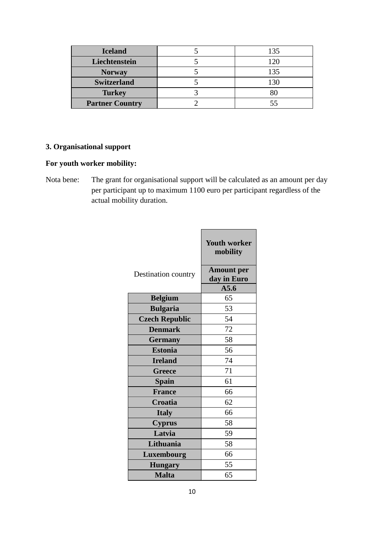| <b>Iceland</b>         | 135 |  |
|------------------------|-----|--|
| Liechtenstein          | 120 |  |
| <b>Norway</b>          | 135 |  |
| <b>Switzerland</b>     |     |  |
| <b>Turkey</b>          |     |  |
| <b>Partner Country</b> |     |  |

# **3. Organisational support**

# **For youth worker mobility:**

Nota bene: The grant for organisational support will be calculated as an amount per day per participant up to maximum 1100 euro per participant regardless of the actual mobility duration.

|                       | <b>Youth worker</b><br>mobility  |
|-----------------------|----------------------------------|
| Destination country   | <b>Amount per</b><br>day in Euro |
|                       | A5.6                             |
| <b>Belgium</b>        | 65                               |
| <b>Bulgaria</b>       | 53                               |
| <b>Czech Republic</b> | 54                               |
| <b>Denmark</b>        | 72                               |
| <b>Germany</b>        | 58                               |
| <b>Estonia</b>        | 56                               |
| <b>Ireland</b>        | 74                               |
| <b>Greece</b>         | 71                               |
| <b>Spain</b>          | 61                               |
| <b>France</b>         | 66                               |
| Croatia               | 62                               |
| <b>Italy</b>          | 66                               |
| <b>Cyprus</b>         | 58                               |
| Latvia                | 59                               |
| Lithuania             | 58                               |
| Luxembourg            | 66                               |
| <b>Hungary</b>        | 55                               |
| <b>Malta</b>          | 65                               |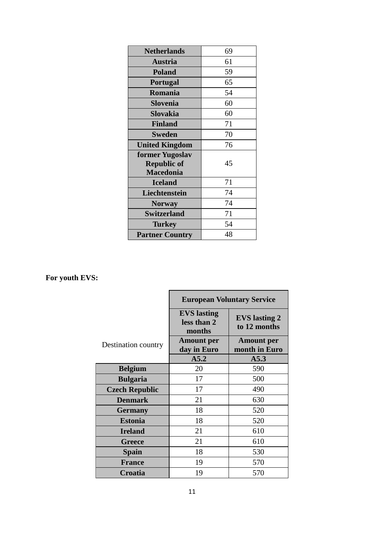| <b>Netherlands</b>     | 69 |
|------------------------|----|
| <b>Austria</b>         | 61 |
| <b>Poland</b>          | 59 |
| <b>Portugal</b>        | 65 |
| Romania                | 54 |
| Slovenia               | 60 |
| Slovakia               | 60 |
| <b>Finland</b>         | 71 |
| <b>Sweden</b>          | 70 |
| <b>United Kingdom</b>  | 76 |
| former Yugoslav        |    |
| <b>Republic of</b>     | 45 |
| <b>Macedonia</b>       |    |
| <b>Iceland</b>         | 71 |
| Liechtenstein          | 74 |
| <b>Norway</b>          | 74 |
| <b>Switzerland</b>     | 71 |
| Turkey                 | 54 |
| <b>Partner Country</b> | 48 |

# **For youth EVS:**

|                       | <b>European Voluntary Service</b>                                                   |                                    |  |  |
|-----------------------|-------------------------------------------------------------------------------------|------------------------------------|--|--|
|                       | <b>EVS</b> lasting<br><b>EVS</b> lasting 2<br>less than 2<br>to 12 months<br>months |                                    |  |  |
| Destination country   | <b>Amount per</b><br>day in Euro                                                    | <b>Amount</b> per<br>month in Euro |  |  |
|                       | A5.2                                                                                | A5.3                               |  |  |
| <b>Belgium</b>        | 20                                                                                  | 590                                |  |  |
| <b>Bulgaria</b>       | 17                                                                                  | 500                                |  |  |
| <b>Czech Republic</b> | 17                                                                                  | 490                                |  |  |
| <b>Denmark</b>        | 21                                                                                  | 630                                |  |  |
| <b>Germany</b>        | 18                                                                                  | 520                                |  |  |
| <b>Estonia</b>        | 18                                                                                  | 520                                |  |  |
| <b>Ireland</b>        | 21                                                                                  | 610                                |  |  |
| <b>Greece</b>         | 21                                                                                  | 610                                |  |  |
| <b>Spain</b>          | 18                                                                                  | 530                                |  |  |
| <b>France</b>         | 19                                                                                  | 570                                |  |  |
| Croatia               | 19                                                                                  | 570                                |  |  |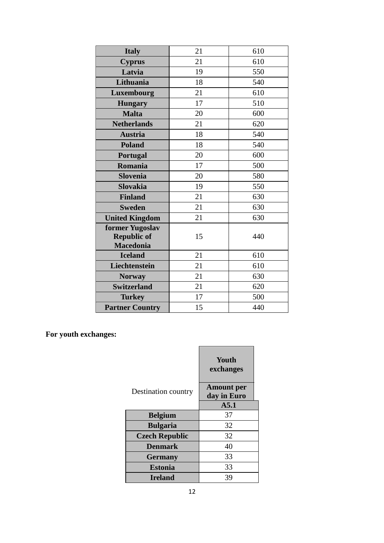| <b>Italy</b>           | 21 | 610 |  |
|------------------------|----|-----|--|
| <b>Cyprus</b>          | 21 | 610 |  |
| Latvia                 | 19 | 550 |  |
| Lithuania              | 18 | 540 |  |
| Luxembourg             | 21 | 610 |  |
| <b>Hungary</b>         | 17 | 510 |  |
| <b>Malta</b>           | 20 | 600 |  |
| <b>Netherlands</b>     | 21 | 620 |  |
| <b>Austria</b>         | 18 | 540 |  |
| <b>Poland</b>          | 18 | 540 |  |
| Portugal               | 20 | 600 |  |
| Romania                | 17 | 500 |  |
| <b>Slovenia</b>        | 20 | 580 |  |
| <b>Slovakia</b>        | 19 | 550 |  |
| <b>Finland</b>         | 21 | 630 |  |
| <b>Sweden</b>          | 21 | 630 |  |
| <b>United Kingdom</b>  | 21 | 630 |  |
| former Yugoslav        |    |     |  |
| <b>Republic of</b>     | 15 | 440 |  |
| <b>Macedonia</b>       |    |     |  |
| <b>Iceland</b>         | 21 | 610 |  |
| Liechtenstein          | 21 | 610 |  |
| <b>Norway</b>          | 21 | 630 |  |
| <b>Switzerland</b>     | 21 | 620 |  |
| <b>Turkey</b>          | 17 | 500 |  |
| <b>Partner Country</b> | 15 | 440 |  |

**For youth exchanges:** 

|                       | Youth<br>exchanges               |  |
|-----------------------|----------------------------------|--|
| Destination country   | <b>Amount per</b><br>day in Euro |  |
|                       | A5.1                             |  |
| <b>Belgium</b>        | 37                               |  |
| <b>Bulgaria</b>       | 32                               |  |
| <b>Czech Republic</b> | 32                               |  |
| <b>Denmark</b>        | 40                               |  |
| <b>Germany</b>        | 33                               |  |
| <b>Estonia</b>        | 33                               |  |
| <b>Ireland</b>        | 39                               |  |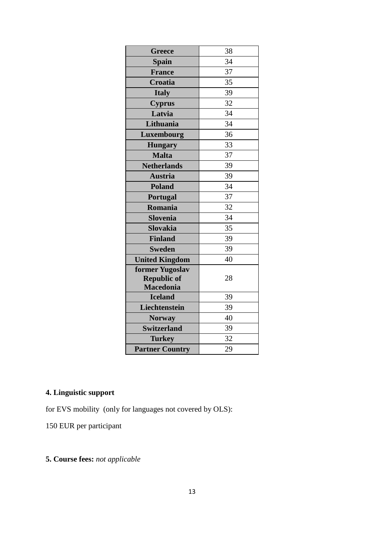| <b>Greece</b>          | 38 |
|------------------------|----|
| <b>Spain</b>           | 34 |
| <b>France</b>          | 37 |
| Croatia                | 35 |
| <b>Italy</b>           | 39 |
| <b>Cyprus</b>          | 32 |
| Latvia                 | 34 |
| Lithuania              | 34 |
| Luxembourg             | 36 |
| <b>Hungary</b>         | 33 |
| <b>Malta</b>           | 37 |
| <b>Netherlands</b>     | 39 |
| <b>Austria</b>         | 39 |
| <b>Poland</b>          | 34 |
| <b>Portugal</b>        | 37 |
| Romania                | 32 |
| <b>Slovenia</b>        | 34 |
| <b>Slovakia</b>        | 35 |
| <b>Finland</b>         | 39 |
| <b>Sweden</b>          | 39 |
| <b>United Kingdom</b>  | 40 |
| former Yugoslav        |    |
| <b>Republic of</b>     | 28 |
| <b>Macedonia</b>       |    |
| <b>Iceland</b>         | 39 |
| Liechtenstein          | 39 |
| <b>Norway</b>          | 40 |
| <b>Switzerland</b>     | 39 |
| <b>Turkey</b>          | 32 |
| <b>Partner Country</b> | 29 |

# **4. Linguistic support**

for EVS mobility (only for languages not covered by OLS):

150 EUR per participant

# **5. Course fees:** *not applicable*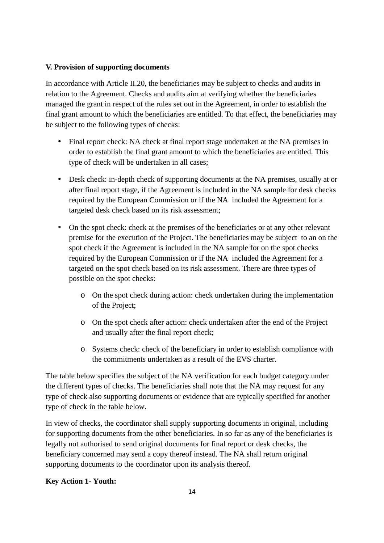#### **V. Provision of supporting documents**

In accordance with Article II.20, the beneficiaries may be subject to checks and audits in relation to the Agreement. Checks and audits aim at verifying whether the beneficiaries managed the grant in respect of the rules set out in the Agreement, in order to establish the final grant amount to which the beneficiaries are entitled. To that effect, the beneficiaries may be subject to the following types of checks:

- Final report check: NA check at final report stage undertaken at the NA premises in order to establish the final grant amount to which the beneficiaries are entitled. This type of check will be undertaken in all cases;
- Desk check: in-depth check of supporting documents at the NA premises, usually at or after final report stage, if the Agreement is included in the NA sample for desk checks required by the European Commission or if the NA included the Agreement for a targeted desk check based on its risk assessment;
- On the spot check: check at the premises of the beneficiaries or at any other relevant premise for the execution of the Project. The beneficiaries may be subject to an on the spot check if the Agreement is included in the NA sample for on the spot checks required by the European Commission or if the NA included the Agreement for a targeted on the spot check based on its risk assessment. There are three types of possible on the spot checks:
	- o On the spot check during action: check undertaken during the implementation of the Project;
	- o On the spot check after action: check undertaken after the end of the Project and usually after the final report check;
	- o Systems check: check of the beneficiary in order to establish compliance with the commitments undertaken as a result of the EVS charter.

The table below specifies the subject of the NA verification for each budget category under the different types of checks. The beneficiaries shall note that the NA may request for any type of check also supporting documents or evidence that are typically specified for another type of check in the table below.

In view of checks, the coordinator shall supply supporting documents in original, including for supporting documents from the other beneficiaries. In so far as any of the beneficiaries is legally not authorised to send original documents for final report or desk checks, the beneficiary concerned may send a copy thereof instead. The NA shall return original supporting documents to the coordinator upon its analysis thereof.

## **Key Action 1- Youth:**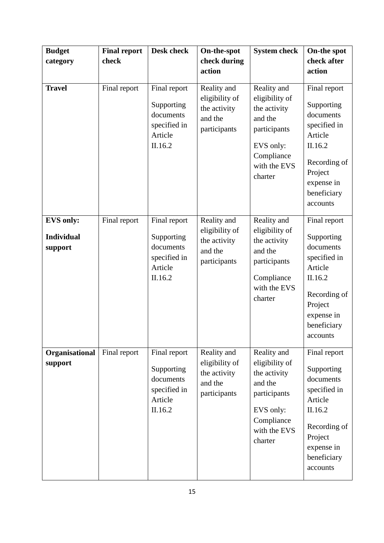| <b>Budget</b><br>category                        | <b>Final report</b><br>check | <b>Desk check</b>                                                             | On-the-spot<br>check during<br>action                                    | <b>System check</b>                                                                                                            | On-the spot<br>check after<br>action                                                                                                              |
|--------------------------------------------------|------------------------------|-------------------------------------------------------------------------------|--------------------------------------------------------------------------|--------------------------------------------------------------------------------------------------------------------------------|---------------------------------------------------------------------------------------------------------------------------------------------------|
| <b>Travel</b>                                    | Final report                 | Final report<br>Supporting<br>documents<br>specified in<br>Article<br>II.16.2 | Reality and<br>eligibility of<br>the activity<br>and the<br>participants | Reality and<br>eligibility of<br>the activity<br>and the<br>participants<br>EVS only:<br>Compliance<br>with the EVS<br>charter | Final report<br>Supporting<br>documents<br>specified in<br>Article<br>II.16.2<br>Recording of<br>Project<br>expense in<br>beneficiary<br>accounts |
| <b>EVS only:</b><br><b>Individual</b><br>support | Final report                 | Final report<br>Supporting<br>documents<br>specified in<br>Article<br>II.16.2 | Reality and<br>eligibility of<br>the activity<br>and the<br>participants | Reality and<br>eligibility of<br>the activity<br>and the<br>participants<br>Compliance<br>with the EVS<br>charter              | Final report<br>Supporting<br>documents<br>specified in<br>Article<br>II.16.2<br>Recording of<br>Project<br>expense in<br>beneficiary<br>accounts |
| Organisational<br>support                        | Final report                 | Final report<br>Supporting<br>documents<br>specified in<br>Article<br>II.16.2 | Reality and<br>eligibility of<br>the activity<br>and the<br>participants | Reality and<br>eligibility of<br>the activity<br>and the<br>participants<br>EVS only:<br>Compliance<br>with the EVS<br>charter | Final report<br>Supporting<br>documents<br>specified in<br>Article<br>II.16.2<br>Recording of<br>Project<br>expense in<br>beneficiary<br>accounts |